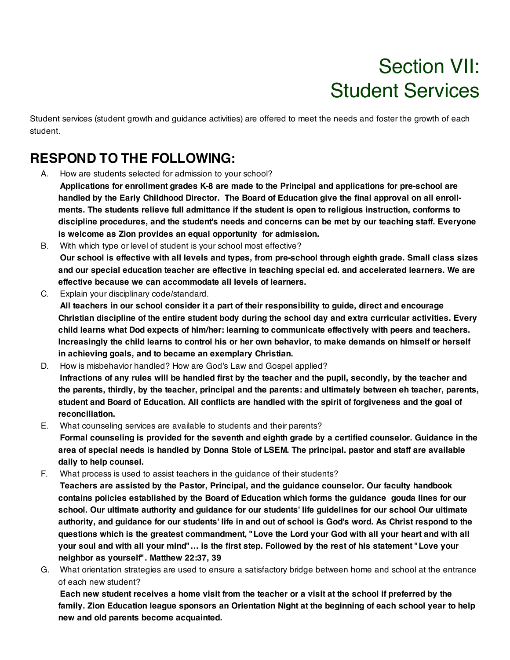# Section VII: Student Services

Student services (student growth and guidance activities) are offered to meet the needs and foster the growth of each student.

## **RESPOND TO THE FOLLOWING:**

- A. How are students selected for admission to your school?
	- **Applications for enrollment grades K-8 are made to the Principal and applications for pre-school are** handled by the Early Childhood Director. The Board of Education give the final approval on all enroll**ments. The students relieve full admittance if the student is open to religious instruction, conforms to discipline procedures, and the student's needs and concerns can be met by our teaching staff. Everyone is welcome as Zion provides an equal opportunity for admission.**
- B. With which type or level of student is your school most effective? Our school is effective with all levels and types, from pre-school through eighth grade. Small class sizes **and our special education teacher are effective in teaching special ed. and accelerated learners. We are effective because we can accommodate all levels of learners.**
- C. Explain your disciplinary code/standard.

**All teachers in our school consider it a part of their responsibility to guide, direct and encourage Christian discipline of the entire student body during the school day and extra curricular activities. Every child learns what Dod expects of him/her: learning to communicate effectively with peers and teachers.** Increasingly the child learns to control his or her own behavior, to make demands on himself or herself **in achieving goals, and to became an exemplary Christian.**

- D. How is misbehavior handled? How are God's Law and Gospel applied? Infractions of any rules will be handled first by the teacher and the pupil, secondly, by the teacher and **the parents, thirdly, by the teacher, principal and the parents: and ultimately between eh teacher, parents,** student and Board of Education. All conflicts are handled with the spirit of forgiveness and the goal of **reconciliation.**
- E. What counseling services are available to students and their parents? **Formal counseling is provided for the seventh and eighth grade by a certified counselor. Guidance in the** area of special needs is handled by Donna Stole of LSEM. The principal. pastor and staff are available **daily to help counsel.**
- F. What process is used to assist teachers in the guidance of their students?
	- **Teachers are assisted by the Pastor, Principal, and the guidance counselor. Our faculty handbook contains policies established by the Board of Education which forms the guidance gouda lines for our school. Our ultimate authority and guidance for our students' life guidelines for our school Our ultimate** authority, and guidance for our students' life in and out of school is God's word. As Christ respond to the questions which is the greatest commandment, "Love the Lord your God with all your heart and with all your soul and with all your mind"... is the first step. Followed by the rest of his statement "Love your **neighbor as yourself". Matthew 22:37, 39**
- G. What orientation strategies are used to ensure a satisfactory bridge between home and school at the entrance of each new student?

Each new student receives a home visit from the teacher or a visit at the school if preferred by the **family. Zion Education league sponsors an Orientation Night at the beginning of each school year to help new and old parents become acquainted.**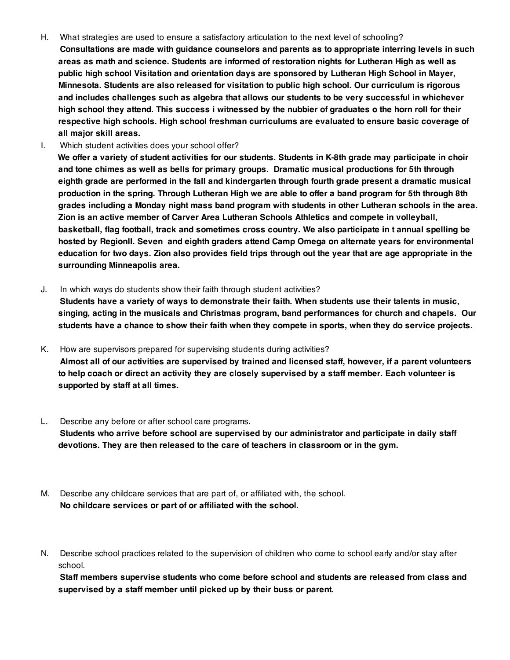- H. What strategies are used to ensure a satisfactory articulation to the next level of schooling?
- **Consultations are made with guidance counselors and parents as to appropriate interring levels in such areas as math and science. Students are informed of restoration nights for Lutheran High as well as public high school Visitation and orientation days are sponsored by Lutheran High School in Mayer, Minnesota. Students are also released for visitation to public high school. Our curriculum is rigorous and includes challenges such as algebra that allows our students to be very successful in whichever** high school they attend. This success i witnessed by the nubbier of graduates o the horn roll for their **respective high schools. High school freshman curriculums are evaluated to ensure basic coverage of all major skill areas.**
- I. Which student activities does your school offer?

We offer a variety of student activities for our students. Students in K-8th grade may participate in choir **and tone chimes as well as bells for primary groups. Dramatic musical productions for 5th through eighth grade are performed in the fall and kindergarten through fourth grade present a dramatic musical** production in the spring. Through Lutheran High we are able to offer a band program for 5th through 8th **grades including a Monday night mass band program with students in other Lutheran schools in the area. Zion is an active member of Carver Area Lutheran Schools Athletics and compete in volleyball, basketball, flag football, track and sometimes cross country. We also participate in t annual spelling be hosted by RegionII. Seven and eighth graders attend Camp Omega on alternate years for environmental** education for two days. Zion also provides field trips through out the year that are age appropriate in the **surrounding Minneapolis area.**

J. In which ways do students show their faith through student activities?

**Students have a variety of ways to demonstrate their faith. When students use their talents in music, singing, acting in the musicals and Christmas program, band performances for church and chapels. Our** students have a chance to show their faith when they compete in sports, when they do service projects.

- K. How are supervisors prepared for supervising students during activities? Almost all of our activities are supervised by trained and licensed staff, however, if a parent volunteers to help coach or direct an activity they are closely supervised by a staff member. Each volunteer is **supported by staff at all times.**
- L. Describe any before or after school care programs. **Students who arrive before school are supervised by our administrator and participate in daily staff devotions. They are then released to the care of teachers in classroom or in the gym.**
- M. Describe any childcare services that are part of, or affiliated with, the school. **No childcare services or part of or affiliated with the school.**
- N. Describe school practices related to the supervision of children who come to school early and/or stay after school.

**Staff members supervise students who come before school and students are released from class and supervised by a staff member until picked up by their buss or parent.**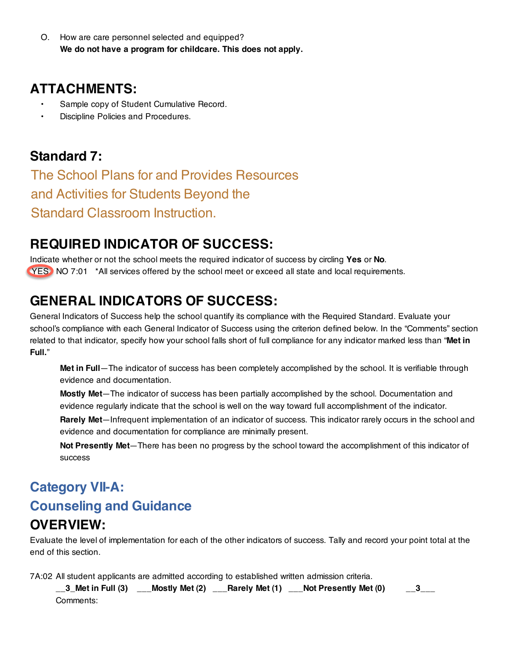O. How are care personnel selected and equipped? **We do not have a program for childcare. This does not apply.**

#### **ATTACHMENTS:**

- Sample copy of Student Cumulative Record.
- Discipline Policies and Procedures.

### **Standard 7:**

The School Plans for and Provides Resources and Activities for Students Beyond the Standard Classroom Instruction.

## **REQUIRED INDICATOR OF SUCCESS:**

Indicate whether or not the school meets the required indicator of success by circling **Yes** or **No**. YES NO 7:01 \*All services offered by the school meet or exceed all state and local requirements.

## **GENERAL INDICATORS OF SUCCESS:**

General Indicators of Success help the school quantify its compliance with the Required Standard. Evaluate your school's compliance with each General Indicator of Success using the criterion defined below. In the "Comments" section related to that indicator, specify how your school falls short of full compliance for any indicator marked less than "**Met in Full.**"

**Met in Full**—The indicator of success has been completely accomplished by the school. It is verifiable through evidence and documentation.

**Mostly Met**—The indicator of success has been partially accomplished by the school. Documentation and evidence regularly indicate that the school is well on the way toward full accomplishment of the indicator.

**Rarely Met**—Infrequent implementation of an indicator of success. This indicator rarely occurs in the school and evidence and documentation for compliance are minimally present.

**Not Presently Met**—There has been no progress by the school toward the accomplishment of this indicator of success

### **Category VII-A: Counseling and Guidance OVERVIEW:**

Evaluate the level of implementation for each of the other indicators of success. Tally and record your point total at the end of this section.

7A:02 All student applicants are admitted according to established written admission criteria.

**\_\_3\_Met in Full (3) \_\_\_Mostly Met (2) \_\_\_Rarely Met (1) \_\_\_Not Presently Met (0) \_\_3\_\_\_** Comments: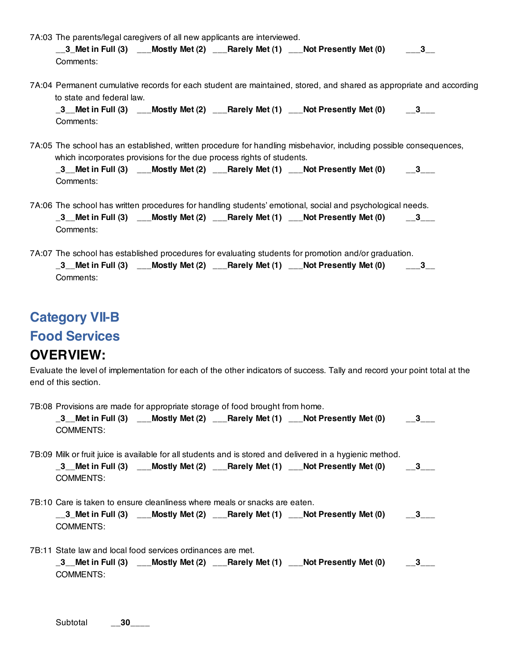- 7A:03 The parents/legal caregivers of all new applicants are interviewed. **\_\_3\_Met in Full (3) \_\_\_Mostly Met (2) \_\_\_Rarely Met (1) \_\_\_Not Presently Met (0) \_\_\_3\_\_** Comments:
- 7A:04 Permanent cumulative records for each student are maintained, stored, and shared as appropriate and according to state and federal law.

**\_3\_\_Met in Full (3) \_\_\_Mostly Met (2) \_\_\_Rarely Met (1) \_\_\_Not Presently Met (0) \_\_3\_\_\_** Comments:

7A:05 The school has an established, written procedure for handling misbehavior, including possible consequences, which incorporates provisions for the due process rights of students.

| $\_3$ <sub>__</sub> Met in Full (3) |  | ___Mostly Met (2) ___Rarely Met (1) ___Not Presently Met (0) | $-$ 3 $-$ |
|-------------------------------------|--|--------------------------------------------------------------|-----------|
| Comments:                           |  |                                                              |           |

- 7A:06 The school has written procedures for handling students' emotional, social and psychological needs. **\_3\_\_Met in Full (3) \_\_\_Mostly Met (2) \_\_\_Rarely Met (1) \_\_\_Not Presently Met (0) \_\_3\_\_\_** Comments:
- 7A:07 The school has established procedures for evaluating students for promotion and/or graduation. **\_3\_\_Met in Full (3) \_\_\_Mostly Met (2) \_\_\_Rarely Met (1) \_\_\_Not Presently Met (0) \_\_\_3\_\_** Comments:

#### **Category VII-B**

#### **Food Services**

#### **OVERVIEW:**

Evaluate the level of implementation for each of the other indicators of success. Tally and record your point total at the end of this section.

7B:08 Provisions are made for appropriate storage of food brought from home.

| $\_3$ <sub>--</sub> Met in Full (3) |  | ___Mostly Met (2) ___Rarely Met (1) ___Not Presently Met (0) | $-$ 3 $-$ |
|-------------------------------------|--|--------------------------------------------------------------|-----------|
| COMMENTS:                           |  |                                                              |           |

7B:09 Milk or fruit juice is available for all students and is stored and delivered in a hygienic method. **\_3\_\_Met in Full (3) \_\_\_Mostly Met (2) \_\_\_Rarely Met (1) \_\_\_Not Presently Met (0) \_\_3\_\_\_** COMMENTS:

7B:10 Care is taken to ensure cleanliness where meals or snacks are eaten.

| $\_3\_$ Met in Full (3) |  | __Mostly Met (2) __Rarely Met (1) __Not Presently Met (0) |  |
|-------------------------|--|-----------------------------------------------------------|--|
| COMMENTS:               |  |                                                           |  |

7B:11 State law and local food services ordinances are met.

| $\_3$ Met in Full $(3)$ |  | ___Mostly Met (2) ___Rarely Met (1) ___Not Presently Met (0) | $-$ 3 $-$ |
|-------------------------|--|--------------------------------------------------------------|-----------|
| COMMENTS:               |  |                                                              |           |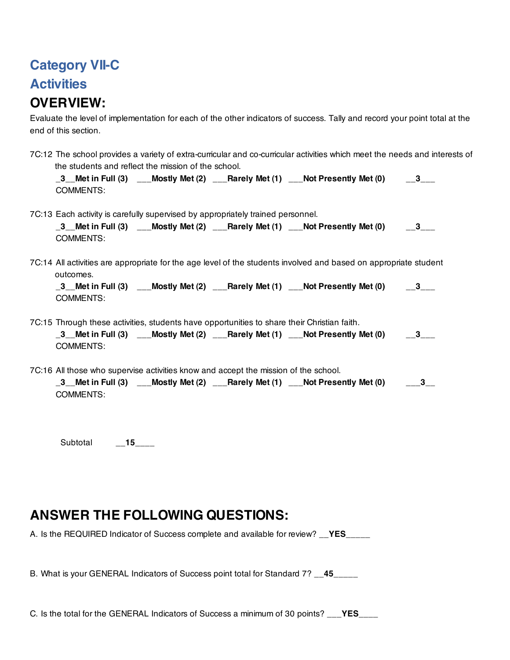## **Category VII-C Activities OVERVIEW:**

Evaluate the level of implementation for each of the other indicators of success. Tally and record your point total at the end of this section.

| 7C:12 The school provides a variety of extra-curricular and co-curricular activities which meet the needs and interests of<br>the students and reflect the mission of the school.                 |  |
|---------------------------------------------------------------------------------------------------------------------------------------------------------------------------------------------------|--|
| COMMENTS:                                                                                                                                                                                         |  |
| 7C:13 Each activity is carefully supervised by appropriately trained personnel.<br><b>COMMENTS:</b>                                                                                               |  |
| 7C:14 All activities are appropriate for the age level of the students involved and based on appropriate student<br>outcomes.<br><b>COMMENTS:</b>                                                 |  |
| 7C:15 Through these activities, students have opportunities to share their Christian faith.<br><b>COMMENTS:</b>                                                                                   |  |
| 7C:16 All those who supervise activities know and accept the mission of the school.<br>_3__Met in Full (3) ___Mostly Met (2) ___Rarely Met (1) ___Not Presently Met (0) ___3_<br><b>COMMENTS:</b> |  |
|                                                                                                                                                                                                   |  |

Subtotal \_\_**15\_**\_\_\_

#### **ANSWER THE FOLLOWING QUESTIONS:**

A. Is the REQUIRED Indicator of Success complete and available for review? \_\_**YES**\_\_\_\_\_

B. What is your GENERAL Indicators of Success point total for Standard 7? \_\_**45\_\_**\_\_\_

C. Is the total for the GENERAL Indicators of Success a minimum of 30 points? \_\_\_**YES**\_\_\_\_